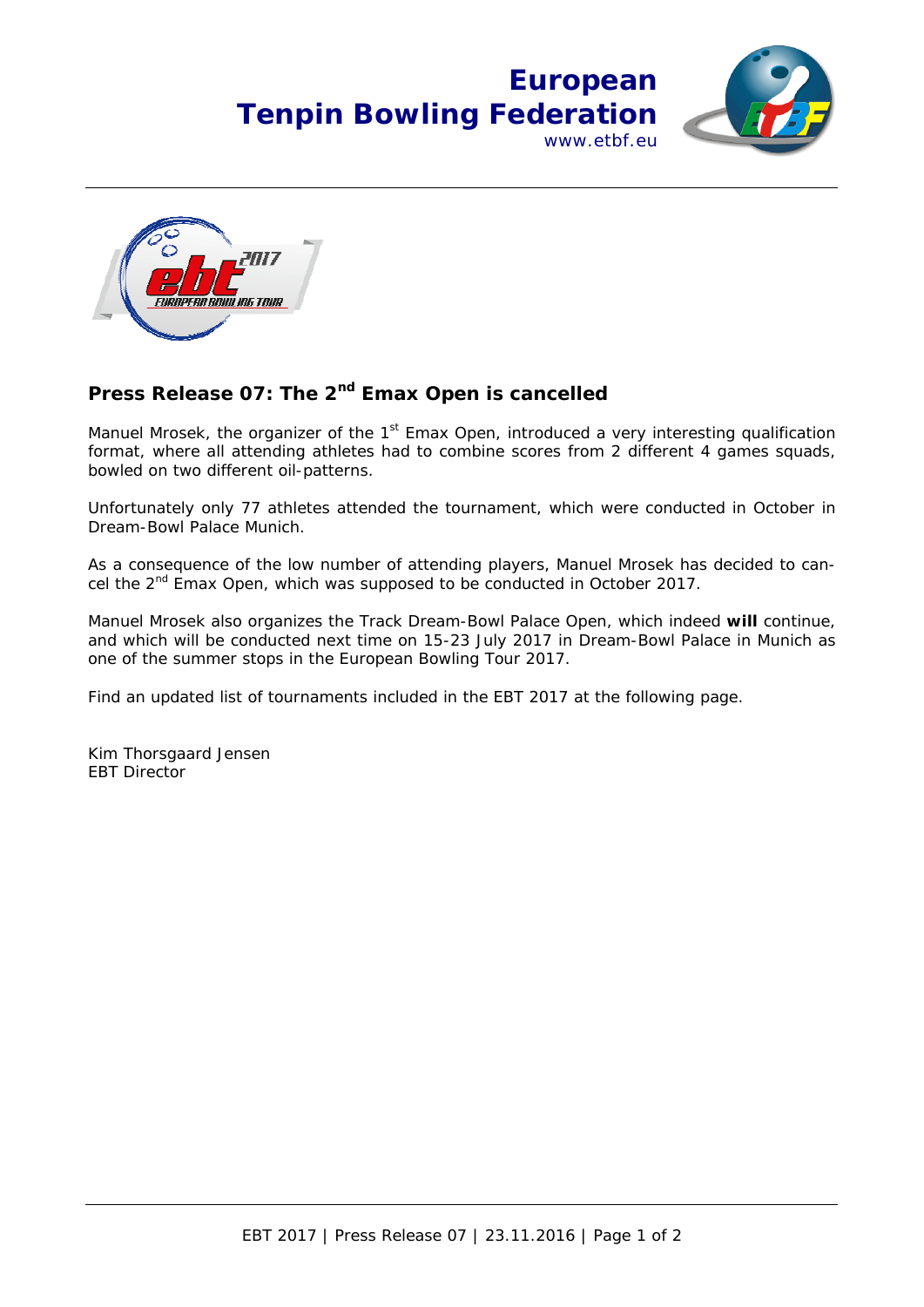



## Press Release 07: The 2<sup>nd</sup> Emax Open is cancelled

Manuel Mrosek, the organizer of the  $1<sup>st</sup>$  Emax Open, introduced a very interesting qualification format, where all attending athletes had to combine scores from 2 different 4 games squads, bowled on two different oil-patterns.

Unfortunately only 77 athletes attended the tournament, which were conducted in October in Dream-Bowl Palace Munich.

As a consequence of the low number of attending players, Manuel Mrosek has decided to cancel the 2<sup>nd</sup> Emax Open, which was supposed to be conducted in October 2017.

Manuel Mrosek also organizes the Track Dream-Bowl Palace Open, which indeed **will** continue, and which will be conducted next time on 15-23 July 2017 in Dream-Bowl Palace in Munich as one of the summer stops in the European Bowling Tour 2017.

Find an updated list of tournaments included in the EBT 2017 at the following page.

Kim Thorsgaard Jensen EBT Director